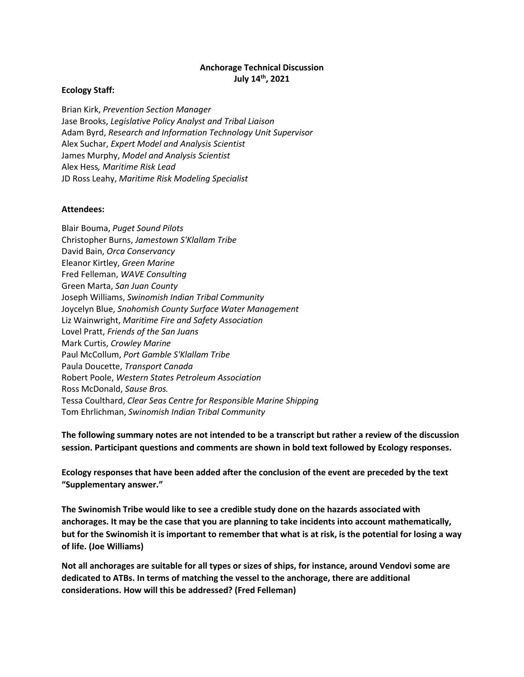#### **Anchorage Technical Discussion July 14th, 2021**

#### **Ecology Staff:**

Brian Kirk, *Prevention Section Manager* Jase Brooks, *Legislative Policy Analyst and Tribal Liaison* Adam Byrd, *Research and Information Technology Unit Supervisor* Alex Suchar, *Expert Model and Analysis Scientist* James Murphy, *Model and Analysis Scientist* Alex Hess*, Maritime Risk Lead* JD Ross Leahy, *Maritime Risk Modeling Specialist*

#### **Attendees:**

Blair Bouma, *Puget Sound Pilots* Christopher Burns, *Jamestown S'Klallam Tribe* David Bain, *Orca Conservancy* Eleanor Kirtley, *Green Marine* Fred Felleman, *WAVE Consulting* Green Marta, *San Juan County* Joseph Williams, *Swinomish Indian Tribal Community* Joycelyn Blue, *Snohomish County Surface Water Management* Liz Wainwright, *Maritime Fire and Safety Association* Lovel Pratt, *Friends of the San Juans* Mark Curtis, *Crowley Marine* Paul McCollum, *Port Gamble S'Klallam Tribe* Paula Doucette, *Transport Canada* Robert Poole, *Western States Petroleum Association* Ross McDonald, *Sause Bros.* Tessa Coulthard, *Clear Seas Centre for Responsible Marine Shipping* Tom Ehrlichman, *Swinomish Indian Tribal Community*

**The following summary notes are not intended to be a transcript but rather a review of the discussion session. Participant questions and comments are shown in bold text followed by Ecology responses.** 

**Ecology responses that have been added after the conclusion of the event are preceded by the text "Supplementary answer."**

**The Swinomish Tribe would like to see a credible study done on the hazards associated with anchorages. It may be the case that you are planning to take incidents into account mathematically, but for the Swinomish it is important to remember that what is at risk, is the potential for losing a way of life. (Joe Williams)**

**Not all anchorages are suitable for all types or sizes of ships, for instance, around Vendovi some are dedicated to ATBs. In terms of matching the vessel to the anchorage, there are additional considerations. How will this be addressed? (Fred Felleman)**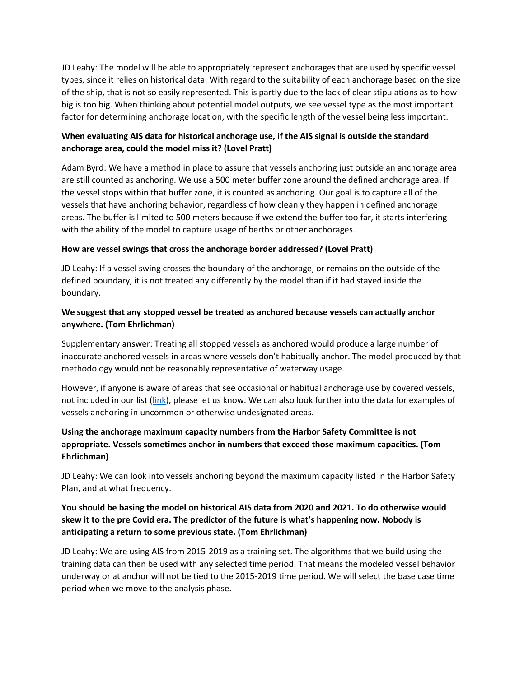JD Leahy: The model will be able to appropriately represent anchorages that are used by specific vessel types, since it relies on historical data. With regard to the suitability of each anchorage based on the size of the ship, that is not so easily represented. This is partly due to the lack of clear stipulations as to how big is too big. When thinking about potential model outputs, we see vessel type as the most important factor for determining anchorage location, with the specific length of the vessel being less important.

## **When evaluating AIS data for historical anchorage use, if the AIS signal is outside the standard anchorage area, could the model miss it? (Lovel Pratt)**

Adam Byrd: We have a method in place to assure that vessels anchoring just outside an anchorage area are still counted as anchoring. We use a 500 meter buffer zone around the defined anchorage area. If the vessel stops within that buffer zone, it is counted as anchoring. Our goal is to capture all of the vessels that have anchoring behavior, regardless of how cleanly they happen in defined anchorage areas. The buffer is limited to 500 meters because if we extend the buffer too far, it starts interfering with the ability of the model to capture usage of berths or other anchorages.

### **How are vessel swings that cross the anchorage border addressed? (Lovel Pratt)**

JD Leahy: If a vessel swing crosses the boundary of the anchorage, or remains on the outside of the defined boundary, it is not treated any differently by the model than if it had stayed inside the boundary.

## **We suggest that any stopped vessel be treated as anchored because vessels can actually anchor anywhere. (Tom Ehrlichman)**

Supplementary answer: Treating all stopped vessels as anchored would produce a large number of inaccurate anchored vessels in areas where vessels don't habitually anchor. The model produced by that methodology would not be reasonably representative of waterway usage.

However, if anyone is aware of areas that see occasional or habitual anchorage use by covered vessels, not included in our list [\(link\)](https://ecology.wa.gov/DOE/files/b1/b1ddbe95-1d07-4ce6-a53a-33efe6caa21e.pdf), please let us know. We can also look further into the data for examples of vessels anchoring in uncommon or otherwise undesignated areas.

# **Using the anchorage maximum capacity numbers from the Harbor Safety Committee is not appropriate. Vessels sometimes anchor in numbers that exceed those maximum capacities. (Tom Ehrlichman)**

JD Leahy: We can look into vessels anchoring beyond the maximum capacity listed in the Harbor Safety Plan, and at what frequency.

# **You should be basing the model on historical AIS data from 2020 and 2021. To do otherwise would skew it to the pre Covid era. The predictor of the future is what's happening now. Nobody is anticipating a return to some previous state. (Tom Ehrlichman)**

JD Leahy: We are using AIS from 2015-2019 as a training set. The algorithms that we build using the training data can then be used with any selected time period. That means the modeled vessel behavior underway or at anchor will not be tied to the 2015-2019 time period. We will select the base case time period when we move to the analysis phase.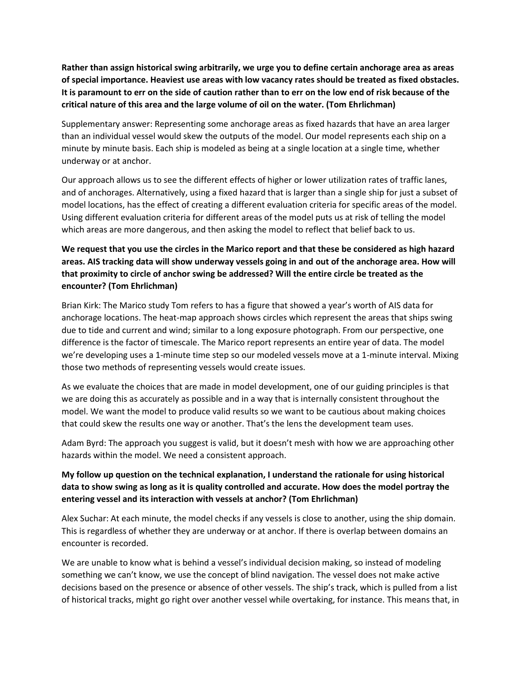**Rather than assign historical swing arbitrarily, we urge you to define certain anchorage area as areas of special importance. Heaviest use areas with low vacancy rates should be treated as fixed obstacles. It is paramount to err on the side of caution rather than to err on the low end of risk because of the critical nature of this area and the large volume of oil on the water. (Tom Ehrlichman)**

Supplementary answer: Representing some anchorage areas as fixed hazards that have an area larger than an individual vessel would skew the outputs of the model. Our model represents each ship on a minute by minute basis. Each ship is modeled as being at a single location at a single time, whether underway or at anchor.

Our approach allows us to see the different effects of higher or lower utilization rates of traffic lanes, and of anchorages. Alternatively, using a fixed hazard that is larger than a single ship for just a subset of model locations, has the effect of creating a different evaluation criteria for specific areas of the model. Using different evaluation criteria for different areas of the model puts us at risk of telling the model which areas are more dangerous, and then asking the model to reflect that belief back to us.

## **We request that you use the circles in the Marico report and that these be considered as high hazard areas. AIS tracking data will show underway vessels going in and out of the anchorage area. How will that proximity to circle of anchor swing be addressed? Will the entire circle be treated as the encounter? (Tom Ehrlichman)**

Brian Kirk: The Marico study Tom refers to has a figure that showed a year's worth of AIS data for anchorage locations. The heat-map approach shows circles which represent the areas that ships swing due to tide and current and wind; similar to a long exposure photograph. From our perspective, one difference is the factor of timescale. The Marico report represents an entire year of data. The model we're developing uses a 1-minute time step so our modeled vessels move at a 1-minute interval. Mixing those two methods of representing vessels would create issues.

As we evaluate the choices that are made in model development, one of our guiding principles is that we are doing this as accurately as possible and in a way that is internally consistent throughout the model. We want the model to produce valid results so we want to be cautious about making choices that could skew the results one way or another. That's the lens the development team uses.

Adam Byrd: The approach you suggest is valid, but it doesn't mesh with how we are approaching other hazards within the model. We need a consistent approach.

### **My follow up question on the technical explanation, I understand the rationale for using historical data to show swing as long as it is quality controlled and accurate. How does the model portray the entering vessel and its interaction with vessels at anchor? (Tom Ehrlichman)**

Alex Suchar: At each minute, the model checks if any vessels is close to another, using the ship domain. This is regardless of whether they are underway or at anchor. If there is overlap between domains an encounter is recorded.

We are unable to know what is behind a vessel's individual decision making, so instead of modeling something we can't know, we use the concept of blind navigation. The vessel does not make active decisions based on the presence or absence of other vessels. The ship's track, which is pulled from a list of historical tracks, might go right over another vessel while overtaking, for instance. This means that, in